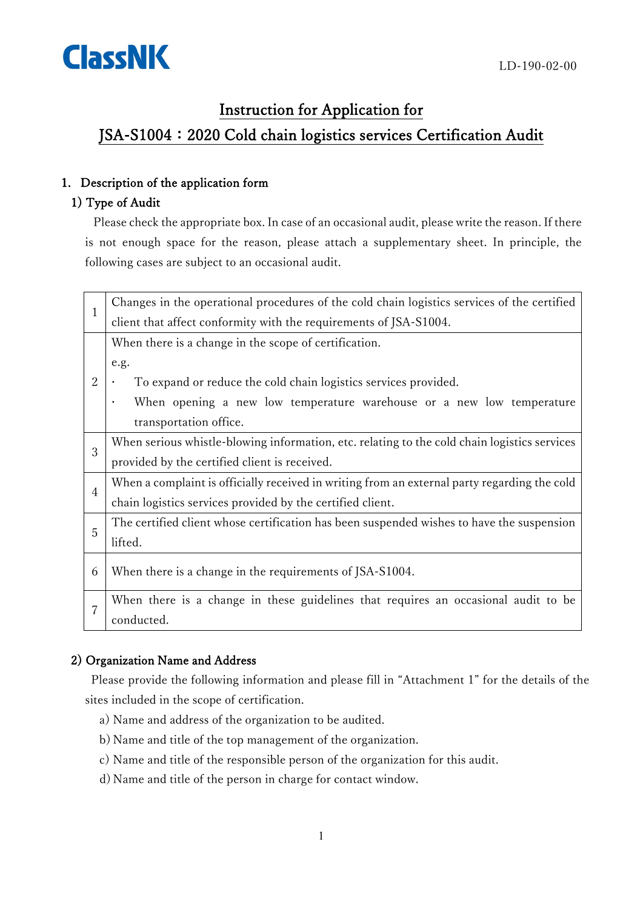# ClassNK

### Instruction for Application for

## JSA-S1004: 2020 Cold chain logistics services Certification Audit

#### 1. Description of the application form

#### 1) Type of Audit

Please check the appropriate box. In case of an occasional audit, please write the reason. If there is not enough space for the reason, please attach a supplementary sheet. In principle, the following cases are subject to an occasional audit.

| $\mathbf{1}$   | Changes in the operational procedures of the cold chain logistics services of the certified  |
|----------------|----------------------------------------------------------------------------------------------|
|                | client that affect conformity with the requirements of JSA-S1004.                            |
|                | When there is a change in the scope of certification.                                        |
| $\overline{2}$ | e.g.                                                                                         |
|                | To expand or reduce the cold chain logistics services provided.                              |
|                | When opening a new low temperature warehouse or a new low temperature                        |
|                | transportation office.                                                                       |
| 3              | When serious whistle-blowing information, etc. relating to the cold chain logistics services |
|                | provided by the certified client is received.                                                |
| 4              | When a complaint is officially received in writing from an external party regarding the cold |
|                | chain logistics services provided by the certified client.                                   |
| 5              | The certified client whose certification has been suspended wishes to have the suspension    |
|                | lifted.                                                                                      |
| 6              | When there is a change in the requirements of JSA-S1004.                                     |
|                |                                                                                              |
| 7              | When there is a change in these guidelines that requires an occasional audit to be           |
|                | conducted.                                                                                   |

#### 2) Organization Name and Address

Please provide the following information and please fill in "Attachment 1" for the details of the sites included in the scope of certification.

- a) Name and address of the organization to be audited.
- b) Name and title of the top management of the organization.
- c) Name and title of the responsible person of the organization for this audit.
- d) Name and title of the person in charge for contact window.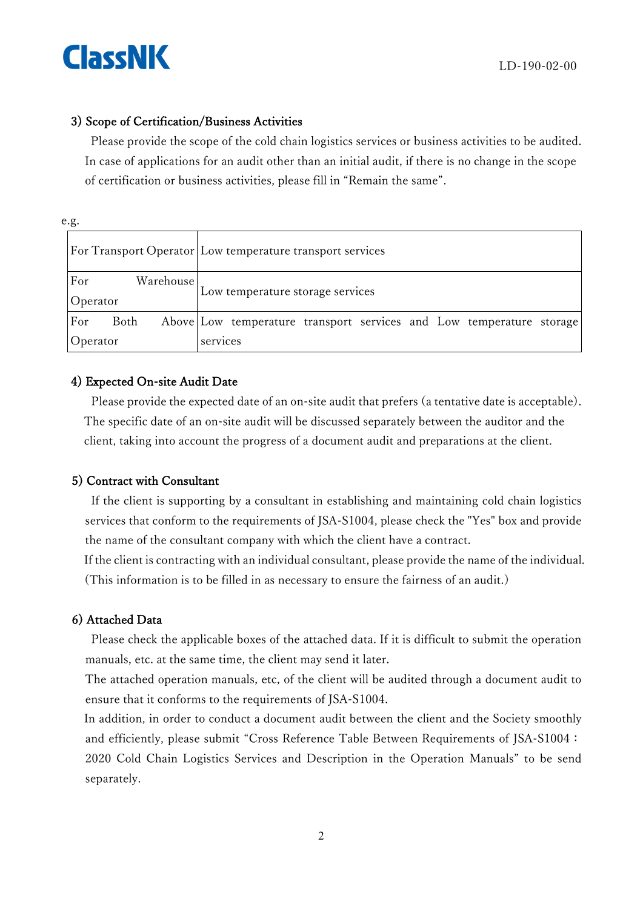

#### 3) Scope of Certification/Business Activities

Please provide the scope of the cold chain logistics services or business activities to be audited. In case of applications for an audit other than an initial audit, if there is no change in the scope of certification or business activities, please fill in "Remain the same".

| ٧<br>v<br>۰.<br>×<br>۰. |
|-------------------------|
|-------------------------|

|                              | For Transport Operator Low temperature transport services            |
|------------------------------|----------------------------------------------------------------------|
| For<br>Warehouse<br>Operator | Low temperature storage services                                     |
| For<br>Both                  | Above Low temperature transport services and Low temperature storage |
| Operator                     | services                                                             |

#### 4) Expected On-site Audit Date

Please provide the expected date of an on-site audit that prefers (a tentative date is acceptable). The specific date of an on-site audit will be discussed separately between the auditor and the client, taking into account the progress of a document audit and preparations at the client.

#### 5) Contract with Consultant

If the client is supporting by a consultant in establishing and maintaining cold chain logistics services that conform to the requirements of JSA-S1004, please check the "Yes" box and provide the name of the consultant company with which the client have a contract.

If the client is contracting with an individual consultant, please provide the name of the individual. (This information is to be filled in as necessary to ensure the fairness of an audit.)

#### 6) Attached Data

Please check the applicable boxes of the attached data. If it is difficult to submit the operation manuals, etc. at the same time, the client may send it later.

The attached operation manuals, etc, of the client will be audited through a document audit to ensure that it conforms to the requirements of JSA-S1004.

In addition, in order to conduct a document audit between the client and the Society smoothly and efficiently, please submit "Cross Reference Table Between Requirements of JSA-S1004: 2020 Cold Chain Logistics Services and Description in the Operation Manuals" to be send separately.